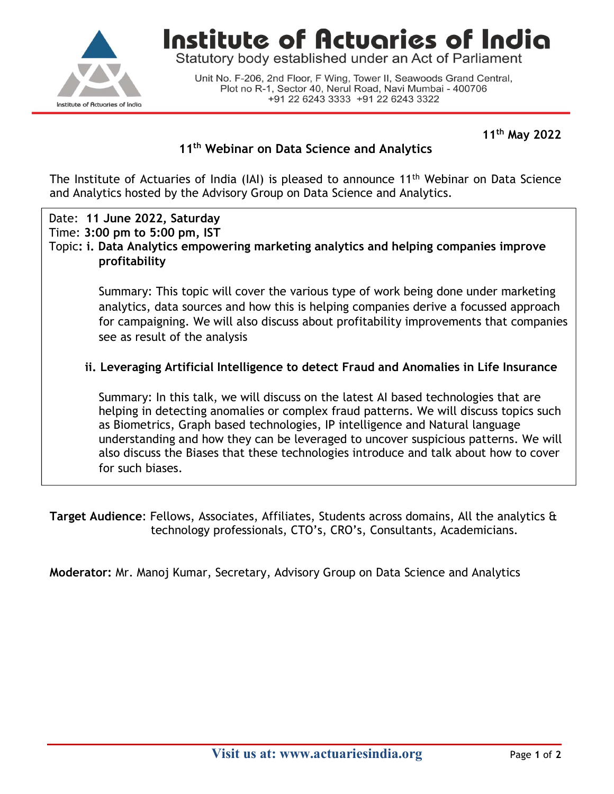

## Institute of Actuaries of India

Statutory body established under an Act of Parliament

Unit No. F-206, 2nd Floor, F Wing, Tower II, Seawoods Grand Central, Plot no R-1, Sector 40, Nerul Road, Navi Mumbai - 400706 +91 22 6243 3333 +91 22 6243 3322

11th May 2022

### 11<sup>th</sup> Webinar on Data Science and Analytics

The Institute of Actuaries of India (IAI) is pleased to announce 11<sup>th</sup> Webinar on Data Science and Analytics hosted by the Advisory Group on Data Science and Analytics.

Date: 11 June 2022, Saturday Time: 3:00 pm to 5:00 pm, IST Topic: i. Data Analytics empowering marketing analytics and helping companies improve profitability

> Summary: This topic will cover the various type of work being done under marketing analytics, data sources and how this is helping companies derive a focussed approach for campaigning. We will also discuss about profitability improvements that companies see as result of the analysis

### ii. Leveraging Artificial Intelligence to detect Fraud and Anomalies in Life Insurance

Summary: In this talk, we will discuss on the latest AI based technologies that are helping in detecting anomalies or complex fraud patterns. We will discuss topics such as Biometrics, Graph based technologies, IP intelligence and Natural language understanding and how they can be leveraged to uncover suspicious patterns. We will also discuss the Biases that these technologies introduce and talk about how to cover for such biases.

Target Audience: Fellows, Associates, Affiliates, Students across domains, All the analytics & technology professionals, CTO's, CRO's, Consultants, Academicians.

Moderator: Mr. Manoj Kumar, Secretary, Advisory Group on Data Science and Analytics